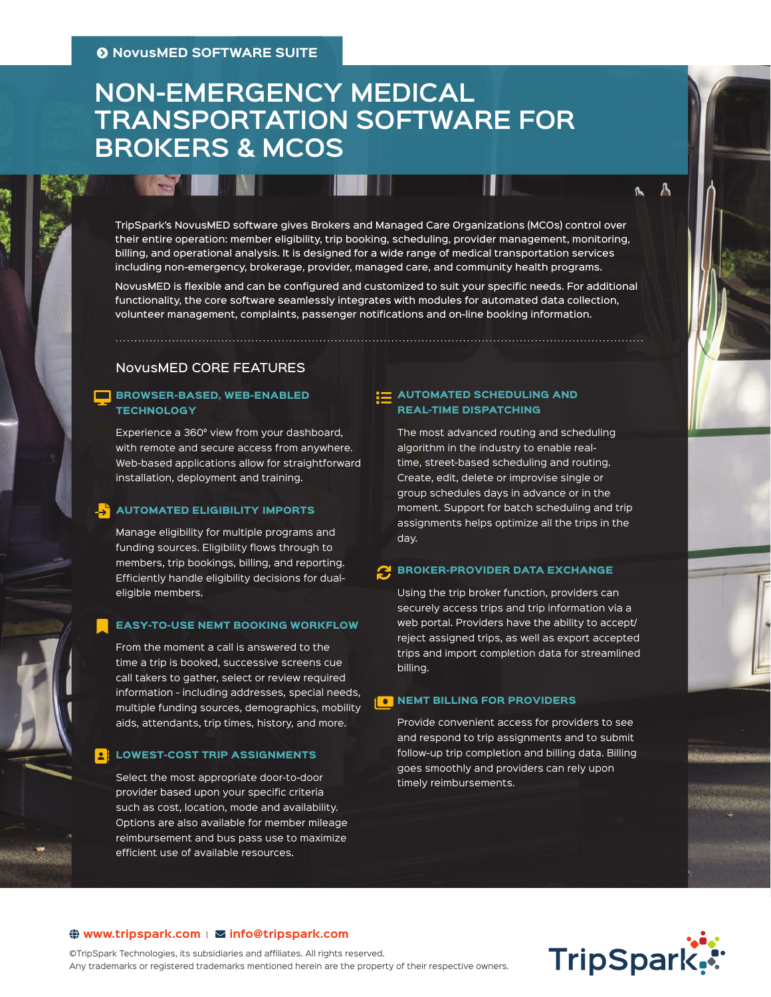# **NON-EMERGENCY MEDICAL TRANSPORTATION SOFTWARE FOR BROKERS & MCOS**

TripSpark's NovusMED software gives Brokers and Managed Care Organizations (MCOs) control over their entire operation: member eligibility, trip booking, scheduling, provider management, monitoring, billing, and operational analysis. It is designed for a wide range of medical transportation services including non-emergency, brokerage, provider, managed care, and community health programs.

NovusMED is flexible and can be configured and customized to suit your specific needs. For additional functionality, the core software seamlessly integrates with modules for automated data collection, volunteer management, complaints, passenger notifications and on-line booking information.

### NovusMED CORE FEATURES

### **BROWSER-BASED, WEB-ENABLED TECHNOLOGY**

Experience a 360° view from your dashboard, with remote and secure access from anywhere. Web-based applications allow for straightforward installation, deployment and training.

#### AUTOMATED ELIGIBILITY IMPORTS FILE-IMPORT

Manage eligibility for multiple programs and funding sources. Eligibility flows through to members, trip bookings, billing, and reporting. Efficiently handle eligibility decisions for dualeligible members.

#### EASY-TO-USE NEMT BOOKING WORKFLOW  $\blacksquare$

From the moment a call is answered to the time a trip is booked, successive screens cue call takers to gather, select or review required information - including addresses, special needs, multiple funding sources, demographics, mobility aids, attendants, trip times, history, and more.

#### LOWEST-COST TRIP ASSIGNMENTS Bl

Select the most appropriate door-to-door provider based upon your specific criteria such as cost, location, mode and availability. Options are also available for member mileage reimbursement and bus pass use to maximize efficient use of available resources.

### $\mathbf{E} \equiv \mathbf{A}$ UTOMATED SCHEDULING AND REAL-TIME DISPATCHING

The most advanced routing and scheduling algorithm in the industry to enable realtime, street-based scheduling and routing. Create, edit, delete or improvise single or group schedules days in advance or in the moment. Support for batch scheduling and trip assignments helps optimize all the trips in the day.

# **C** BROKER-PROVIDER DATA EXCHANGE

Using the trip broker function, providers can securely access trips and trip information via a web portal. Providers have the ability to accept/ reject assigned trips, as well as export accepted trips and import completion data for streamlined billing.

# $\begin{array}{|c|c|}\hline \text{o} \end{array}$  NEMT BILLING FOR PROVIDERS

Provide convenient access for providers to see and respond to trip assignments and to submit follow-up trip completion and billing data. Billing goes smoothly and providers can rely upon timely reimbursements.



А r.

### $\bigoplus$  [www.tripspark.com](https://www.tripspark.com/?utm_medium=Content&utm_source=SS&utm_campaign=Broker-MCO&utm_content=URL) |  $\Sigma$  info@tripspark.com

©TripSpark Technologies, its subsidiaries and affiliates. All rights reserved. Any trademarks or registered trademarks mentioned herein are the property of their respective owners.